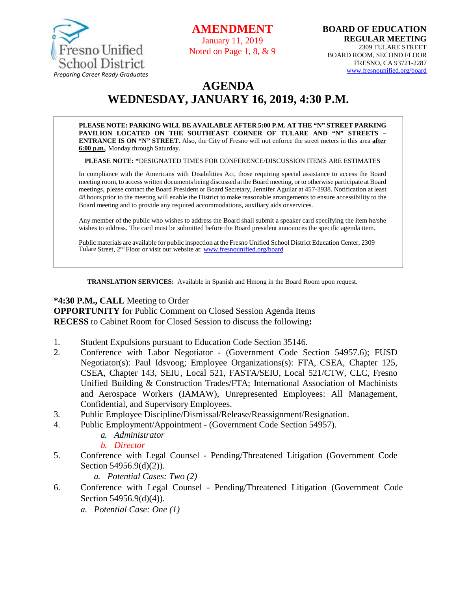

**AMENDMENT**

January 11, 2019 Noted on Page 1, 8, & 9

# **AGENDA WEDNESDAY, JANUARY 16, 2019, 4:30 P.M.**

**PLEASE NOTE: PARKING WILL BE AVAILABLE AFTER 5:00 P.M. AT THE "N" STREET PARKING PAVILION LOCATED ON THE SOUTHEAST CORNER OF TULARE AND "N" STREETS – ENTRANCE IS ON "N" STREET.** Also, the City of Fresno will not enforce the street meters in this area **after 6:00 p.m.**, Monday through Saturday.

**PLEASE NOTE: \***DESIGNATED TIMES FOR CONFERENCE/DISCUSSION ITEMS ARE ESTIMATES

In compliance with the Americans with Disabilities Act, those requiring special assistance to access the Board meeting room, to access written documents being discussed at the Board meeting, or to otherwise participate at Board meetings, please contact the Board President or Board Secretary, Jennifer Aguilar at 457-3938. Notification at least 48 hours prior to the meeting will enable the District to make reasonable arrangements to ensure accessibility to the Board meeting and to provide any required accommodations, auxiliary aids orservices.

Any member of the public who wishes to address the Board shall submit a speaker card specifying the item he/she wishes to address. The card must be submitted before the Board president announces the specific agenda item.

Public materials are available for public inspection at the Fresno Unified School District Education Center, 2309 Tulare Street, 2<sup>nd</sup> Floor or visit our website at: **[www.fresnounified.org/board](http://www.fresnounified.org/board)** 

**TRANSLATION SERVICES:** Available in Spanish and Hmong in the Board Room upon request.

#### **\*4:30 P.M., CALL** Meeting to Order

**OPPORTUNITY** for Public Comment on Closed Session Agenda Items **RECESS** to Cabinet Room for Closed Session to discuss the following**:**

- 1. Student Expulsions pursuant to Education Code Section 35146.
- 2. Conference with Labor Negotiator (Government Code Section 54957.6); FUSD Negotiator(s): Paul Idsvoog; Employee Organizations(s): FTA, CSEA, Chapter 125, CSEA, Chapter 143, SEIU, Local 521, FASTA/SEIU, Local 521/CTW, CLC, Fresno Unified Building & Construction Trades/FTA; International Association of Machinists and Aerospace Workers (IAMAW), Unrepresented Employees: All Management, Confidential, and Supervisory Employees.
- 3. Public Employee Discipline/Dismissal/Release/Reassignment/Resignation.
- 4. Public Employment/Appointment (Government Code Section 54957).
	- *a. Administrator*

#### *b. Director*

- 5. Conference with Legal Counsel Pending/Threatened Litigation (Government Code Section 54956.9(d)(2)).
	- *a. Potential Cases: Two (2)*
- 6. Conference with Legal Counsel Pending/Threatened Litigation (Government Code Section 54956.9(d)(4)).
	- *a. Potential Case: One (1)*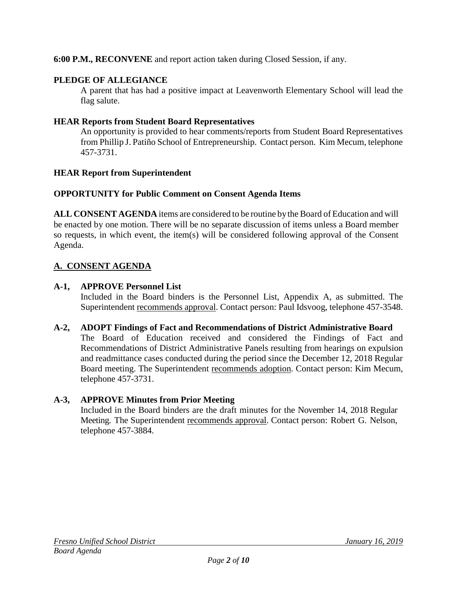**6:00 P.M., RECONVENE** and report action taken during Closed Session, if any.

## **PLEDGE OF ALLEGIANCE**

A parent that has had a positive impact at Leavenworth Elementary School will lead the flag salute.

## **HEAR Reports from Student Board Representatives**

An opportunity is provided to hear comments/reports from Student Board Representatives from Phillip J. Patiño School of Entrepreneurship. Contact person. Kim Mecum, telephone 457-3731.

## **HEAR Report from Superintendent**

## **OPPORTUNITY for Public Comment on Consent Agenda Items**

**ALL CONSENT AGENDA** items are considered to be routine bythe Board of Education and will be enacted by one motion. There will be no separate discussion of items unless a Board member so requests, in which event, the item(s) will be considered following approval of the Consent Agenda.

## **A. CONSENT AGENDA**

## **A-1, APPROVE Personnel List**

Included in the Board binders is the Personnel List, Appendix A, as submitted. The Superintendent recommends approval. Contact person: Paul Idsvoog, telephone 457-3548.

**A-2, ADOPT Findings of Fact and Recommendations of District Administrative Board** The Board of Education received and considered the Findings of Fact and Recommendations of District Administrative Panels resulting from hearings on expulsion and readmittance cases conducted during the period since the December 12, 2018 Regular Board meeting. The Superintendent recommends adoption. Contact person: Kim Mecum, telephone 457-3731.

## **A-3, APPROVE Minutes from Prior Meeting**

Included in the Board binders are the draft minutes for the November 14, 2018 Regular Meeting. The Superintendent recommends approval. Contact person: Robert G. Nelson, telephone 457-3884.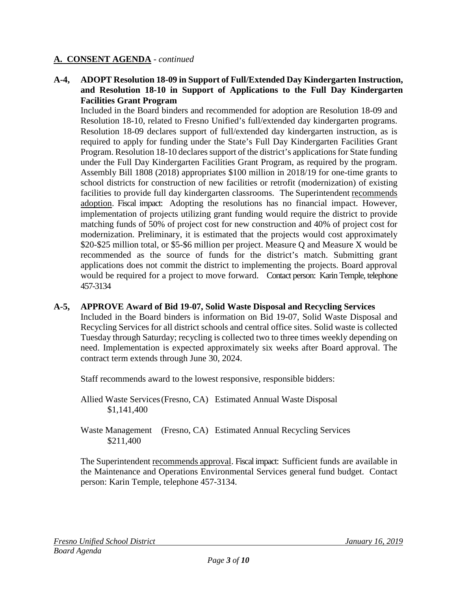**A-4, ADOPT Resolution 18-09 in Support of Full/Extended Day Kindergarten Instruction, and Resolution 18-10 in Support of Applications to the Full Day Kindergarten Facilities Grant Program**

Included in the Board binders and recommended for adoption are Resolution 18-09 and Resolution 18-10, related to Fresno Unified's full/extended day kindergarten programs. Resolution 18-09 declares support of full/extended day kindergarten instruction, as is required to apply for funding under the State's Full Day Kindergarten Facilities Grant Program. Resolution 18-10 declares support of the district's applications for State funding under the Full Day Kindergarten Facilities Grant Program, as required by the program. Assembly Bill 1808 (2018) appropriates \$100 million in 2018/19 for one-time grants to school districts for construction of new facilities or retrofit (modernization) of existing facilities to provide full day kindergarten classrooms. The Superintendent recommends adoption. Fiscal impact: Adopting the resolutions has no financial impact. However, implementation of projects utilizing grant funding would require the district to provide matching funds of 50% of project cost for new construction and 40% of project cost for modernization. Preliminary, it is estimated that the projects would cost approximately \$20-\$25 million total, or \$5-\$6 million per project. Measure Q and Measure X would be recommended as the source of funds for the district's match. Submitting grant applications does not commit the district to implementing the projects. Board approval would be required for a project to move forward. Contact person: Karin Temple, telephone 457-3134

#### **A-5, APPROVE Award of Bid 19-07, Solid Waste Disposal and Recycling Services**

Included in the Board binders is information on Bid 19-07, Solid Waste Disposal and Recycling Services for all district schools and central office sites. Solid waste is collected Tuesday through Saturday; recycling is collected two to three times weekly depending on need. Implementation is expected approximately six weeks after Board approval. The contract term extends through June 30, 2024.

Staff recommends award to the lowest responsive, responsible bidders:

Allied Waste Services(Fresno, CA) Estimated Annual Waste Disposal \$1,141,400

Waste Management (Fresno, CA) Estimated Annual Recycling Services \$211,400

The Superintendent recommends approval. Fiscal impact: Sufficient funds are available in the Maintenance and Operations Environmental Services general fund budget. Contact person: Karin Temple, telephone 457-3134.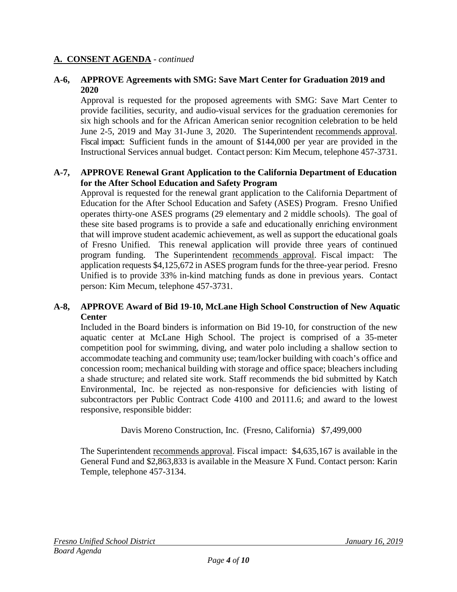#### **A-6, APPROVE Agreements with SMG: Save Mart Center for Graduation 2019 and 2020**

Approval is requested for the proposed agreements with SMG: Save Mart Center to provide facilities, security, and audio-visual services for the graduation ceremonies for six high schools and for the African American senior recognition celebration to be held June 2-5, 2019 and May 31-June 3, 2020. The Superintendent recommends approval. Fiscal impact: Sufficient funds in the amount of \$144,000 per year are provided in the Instructional Services annual budget. Contact person: Kim Mecum, telephone 457-3731.

### **A-7, APPROVE Renewal Grant Application to the California Department of Education for the After School Education and Safety Program**

Approval is requested for the renewal grant application to the California Department of Education for the After School Education and Safety (ASES) Program. Fresno Unified operates thirty-one ASES programs (29 elementary and 2 middle schools). The goal of these site based programs is to provide a safe and educationally enriching environment that will improve student academic achievement, as well as support the educational goals of Fresno Unified. This renewal application will provide three years of continued program funding. The Superintendent recommends approval. Fiscal impact: The application requests \$4,125,672 in ASES program funds for the three-year period. Fresno Unified is to provide 33% in-kind matching funds as done in previous years. Contact person: Kim Mecum, telephone 457-3731.

#### **A-8, APPROVE Award of Bid 19-10, McLane High School Construction of New Aquatic Center**

Included in the Board binders is information on Bid 19-10, for construction of the new aquatic center at McLane High School. The project is comprised of a 35-meter competition pool for swimming, diving, and water polo including a shallow section to accommodate teaching and community use; team/locker building with coach's office and concession room; mechanical building with storage and office space; bleachers including a shade structure; and related site work. Staff recommends the bid submitted by Katch Environmental, Inc. be rejected as non-responsive for deficiencies with listing of subcontractors per Public Contract Code 4100 and 20111.6; and award to the lowest responsive, responsible bidder:

Davis Moreno Construction, Inc. (Fresno, California) \$7,499,000

The Superintendent recommends approval. Fiscal impact: \$4,635,167 is available in the General Fund and \$2,863,833 is available in the Measure X Fund. Contact person: Karin Temple, telephone 457-3134.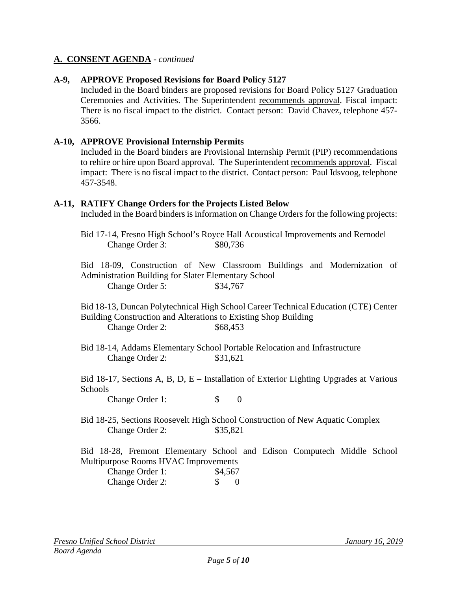### **A-9, APPROVE Proposed Revisions for Board Policy 5127**

Included in the Board binders are proposed revisions for Board Policy 5127 Graduation Ceremonies and Activities. The Superintendent recommends approval. Fiscal impact: There is no fiscal impact to the district. Contact person: David Chavez, telephone 457- 3566.

#### **A-10, APPROVE Provisional Internship Permits**

Included in the Board binders are Provisional Internship Permit (PIP) recommendations to rehire or hire upon Board approval. The Superintendent recommends approval. Fiscal impact: There is no fiscal impact to the district. Contact person: Paul Idsvoog, telephone 457-3548.

#### **A-11, RATIFY Change Orders for the Projects Listed Below**

Included in the Board binders is information on Change Orders for the following projects:

Bid 17-14, Fresno High School's Royce Hall Acoustical Improvements and Remodel Change Order 3:  $$80,736$ 

Bid 18-09, Construction of New Classroom Buildings and Modernization of Administration Building for Slater Elementary School Change Order 5: \$34,767

Bid 18-13, Duncan Polytechnical High School Career Technical Education (CTE) Center Building Construction and Alterations to Existing Shop Building Change Order 2: \$68,453

Bid 18-14, Addams Elementary School Portable Relocation and Infrastructure Change Order 2: \$31,621

Bid 18-17, Sections A, B, D, E – Installation of Exterior Lighting Upgrades at Various **Schools** 

Change Order 1: \$ 0

Bid 18-25, Sections Roosevelt High School Construction of New Aquatic Complex Change Order 2: \$35,821

Bid 18-28, Fremont Elementary School and Edison Computech Middle School Multipurpose Rooms HVAC Improvements

| Change Order 1: | \$4,567 |     |
|-----------------|---------|-----|
| Change Order 2: |         | - 0 |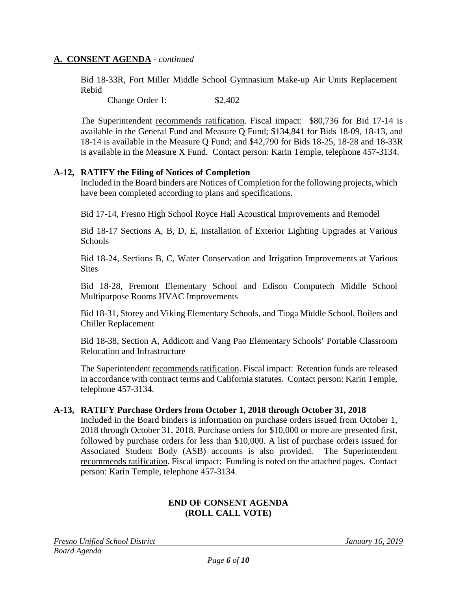Bid 18-33R, Fort Miller Middle School Gymnasium Make-up Air Units Replacement Rebid

Change Order 1: \$2,402

The Superintendent recommends ratification. Fiscal impact: \$80,736 for Bid 17-14 is available in the General Fund and Measure Q Fund; \$134,841 for Bids 18-09, 18-13, and 18-14 is available in the Measure Q Fund; and \$42,790 for Bids 18-25, 18-28 and 18-33R is available in the Measure X Fund. Contact person: Karin Temple, telephone 457-3134.

#### **A-12, RATIFY the Filing of Notices of Completion**

Included in the Board binders are Notices of Completion for the following projects, which have been completed according to plans and specifications.

Bid 17-14, Fresno High School Royce Hall Acoustical Improvements and Remodel

Bid 18-17 Sections A, B, D, E, Installation of Exterior Lighting Upgrades at Various Schools

Bid 18-24, Sections B, C, Water Conservation and Irrigation Improvements at Various **Sites** 

Bid 18-28, Fremont Elementary School and Edison Computech Middle School Multipurpose Rooms HVAC Improvements

Bid 18-31, Storey and Viking Elementary Schools, and Tioga Middle School, Boilers and Chiller Replacement

Bid 18-38, Section A, Addicott and Vang Pao Elementary Schools' Portable Classroom Relocation and Infrastructure

The Superintendent recommends ratification. Fiscal impact: Retention funds are released in accordance with contract terms and California statutes. Contact person: Karin Temple, telephone 457-3134.

#### **A-13, RATIFY Purchase Orders from October 1, 2018 through October 31, 2018**

Included in the Board binders is information on purchase orders issued from October 1, 2018 through October 31, 2018. Purchase orders for \$10,000 or more are presented first, followed by purchase orders for less than \$10,000. A list of purchase orders issued for Associated Student Body (ASB) accounts is also provided. The Superintendent recommends ratification. Fiscal impact: Funding is noted on the attached pages. Contact person: Karin Temple, telephone 457-3134.

#### **END OF CONSENT AGENDA (ROLL CALL VOTE)**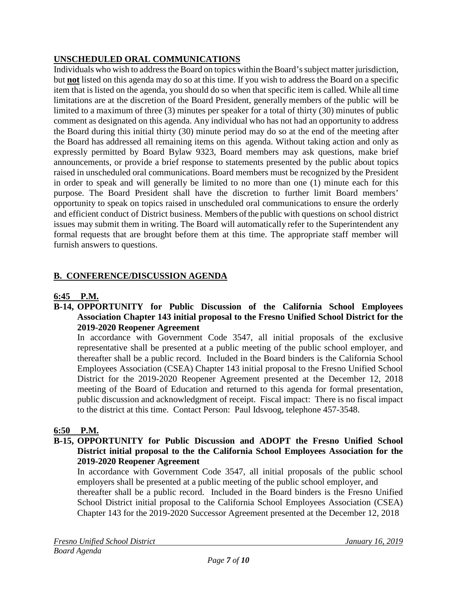## **UNSCHEDULED ORAL COMMUNICATIONS**

Individuals who wish to address the Board on topics within the Board's subject matter jurisdiction, but **not** listed on this agenda may do so at this time. If you wish to address the Board on a specific item that is listed on the agenda, you should do so when that specific item is called. While all time limitations are at the discretion of the Board President, generally members of the public will be limited to a maximum of three (3) minutes per speaker for a total of thirty (30) minutes of public comment as designated on this agenda. Any individual who has not had an opportunity to address the Board during this initial thirty (30) minute period may do so at the end of the meeting after the Board has addressed all remaining items on this agenda. Without taking action and only as expressly permitted by Board Bylaw 9323, Board members may ask questions, make brief announcements, or provide a brief response to statements presented by the public about topics raised in unscheduled oral communications. Board members must be recognized by the President in order to speak and will generally be limited to no more than one (1) minute each for this purpose. The Board President shall have the discretion to further limit Board members' opportunity to speak on topics raised in unscheduled oral communications to ensure the orderly and efficient conduct of District business. Members of the public with questions on school district issues may submit them in writing. The Board will automatically refer to the Superintendent any formal requests that are brought before them at this time. The appropriate staff member will furnish answers to questions.

## **B. CONFERENCE/DISCUSSION AGENDA**

## **6:45 P.M.**

#### **B-14, OPPORTUNITY for Public Discussion of the California School Employees Association Chapter 143 initial proposal to the Fresno Unified School District for the 2019-2020 Reopener Agreement**

In accordance with Government Code 3547, all initial proposals of the exclusive representative shall be presented at a public meeting of the public school employer, and thereafter shall be a public record. Included in the Board binders is the California School Employees Association (CSEA) Chapter 143 initial proposal to the Fresno Unified School District for the 2019-2020 Reopener Agreement presented at the December 12, 2018 meeting of the Board of Education and returned to this agenda for formal presentation, public discussion and acknowledgment of receipt. Fiscal impact: There is no fiscal impact to the district at this time. Contact Person: Paul Idsvoog, telephone 457-3548.

## **6:50 P.M.**

#### **B-15, OPPORTUNITY for Public Discussion and ADOPT the Fresno Unified School District initial proposal to the the California School Employees Association for the 2019-2020 Reopener Agreement**

In accordance with Government Code 3547, all initial proposals of the public school employers shall be presented at a public meeting of the public school employer, and thereafter shall be a public record. Included in the Board binders is the Fresno Unified School District initial proposal to the California School Employees Association (CSEA) Chapter 143 for the 2019-2020 Successor Agreement presented at the December 12, 2018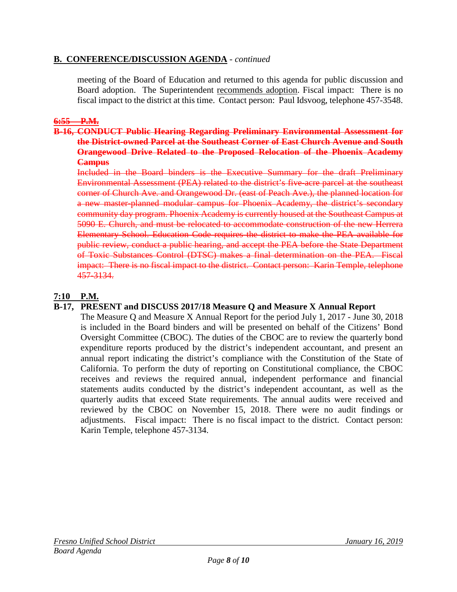### **B. CONFERENCE/DISCUSSION AGENDA** - *continued*

meeting of the Board of Education and returned to this agenda for public discussion and Board adoption. The Superintendent recommends adoption. Fiscal impact: There is no fiscal impact to the district at this time. Contact person: Paul Idsvoog, telephone 457-3548.

## **6:55 P.M.**

#### **B-16, CONDUCT Public Hearing Regarding Preliminary Environmental Assessment for the District-owned Parcel at the Southeast Corner of East Church Avenue and South Orangewood Drive Related to the Proposed Relocation of the Phoenix Academy Campus**

Included in the Board binders is the Executive Summary for the draft Preliminary Environmental Assessment (PEA) related to the district's five-acre parcel at the southeast corner of Church Ave. and Orangewood Dr. (east of Peach Ave.), the planned location for a new master-planned modular campus for Phoenix Academy, the district's secondary community day program. Phoenix Academy is currently housed at the Southeast Campus at 5090 E. Church, and must be relocated to accommodate construction of the new Herrera Elementary School. Education Code requires the district to make the PEA available for public review, conduct a public hearing, and accept the PEA before the State Department of Toxic Substances Control (DTSC) makes a final determination on the PEA. Fiscal impact: There is no fiscal impact to the district. Contact person: Karin Temple, telephone 457-3134.

## **7:10 P.M.**

#### **B-17, PRESENT and DISCUSS 2017/18 Measure Q and Measure X Annual Report**

The Measure Q and Measure X Annual Report for the period July 1, 2017 - June 30, 2018 is included in the Board binders and will be presented on behalf of the Citizens' Bond Oversight Committee (CBOC). The duties of the CBOC are to review the quarterly bond expenditure reports produced by the district's independent accountant, and present an annual report indicating the district's compliance with the Constitution of the State of California. To perform the duty of reporting on Constitutional compliance, the CBOC receives and reviews the required annual, independent performance and financial statements audits conducted by the district's independent accountant, as well as the quarterly audits that exceed State requirements. The annual audits were received and reviewed by the CBOC on November 15, 2018. There were no audit findings or adjustments. Fiscal impact: There is no fiscal impact to the district. Contact person: Karin Temple, telephone 457-3134.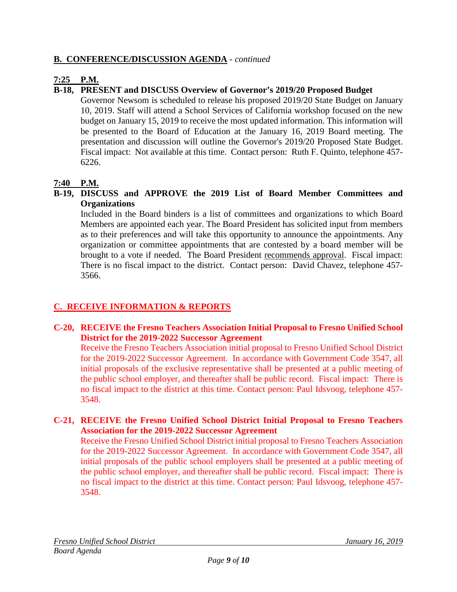## **B. CONFERENCE/DISCUSSION AGENDA** - *continued*

## **7:25 P.M.**

## **B-18, PRESENT and DISCUSS Overview of Governor's 2019/20 Proposed Budget**

Governor Newsom is scheduled to release his proposed 2019/20 State Budget on January 10, 2019. Staff will attend a School Services of California workshop focused on the new budget on January 15, 2019 to receive the most updated information. This information will be presented to the Board of Education at the January 16, 2019 Board meeting. The presentation and discussion will outline the Governor's 2019/20 Proposed State Budget. Fiscal impact: Not available at this time. Contact person: Ruth F. Quinto, telephone 457- 6226.

## **7:40 P.M.**

### **B-19, DISCUSS and APPROVE the 2019 List of Board Member Committees and Organizations**

Included in the Board binders is a list of committees and organizations to which Board Members are appointed each year. The Board President has solicited input from members as to their preferences and will take this opportunity to announce the appointments. Any organization or committee appointments that are contested by a board member will be brought to a vote if needed. The Board President recommends approval. Fiscal impact: There is no fiscal impact to the district. Contact person: David Chavez, telephone 457- 3566.

## **C. RECEIVE INFORMATION & REPORTS**

## **C-20, RECEIVE the Fresno Teachers Association Initial Proposal to Fresno Unified School District for the 2019-2022 Successor Agreement**

Receive the Fresno Teachers Association initial proposal to Fresno Unified School District for the 2019-2022 Successor Agreement. In accordance with Government Code 3547, all initial proposals of the exclusive representative shall be presented at a public meeting of the public school employer, and thereafter shall be public record. Fiscal impact: There is no fiscal impact to the district at this time. Contact person: Paul Idsvoog, telephone 457- 3548.

#### **C-21, RECEIVE the Fresno Unified School District Initial Proposal to Fresno Teachers Association for the 2019-2022 Successor Agreement**

Receive the Fresno Unified School District initial proposal to Fresno Teachers Association for the 2019-2022 Successor Agreement. In accordance with Government Code 3547, all initial proposals of the public school employers shall be presented at a public meeting of the public school employer, and thereafter shall be public record. Fiscal impact: There is no fiscal impact to the district at this time. Contact person: Paul Idsvoog, telephone 457- 3548.